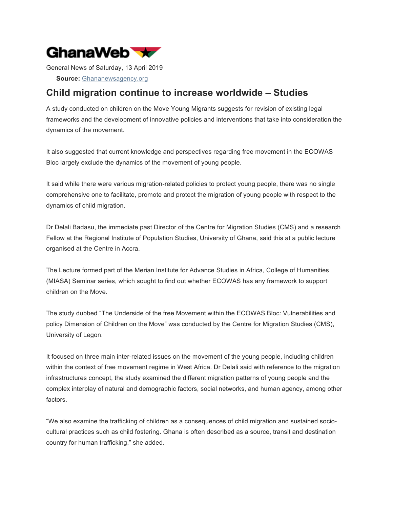

General News of Saturday, 13 April 2019

**Source:** Ghananewsagency.org

## **Child migration continue to increase worldwide – Studies**

A study conducted on children on the Move Young Migrants suggests for revision of existing legal frameworks and the development of innovative policies and interventions that take into consideration the dynamics of the movement.

It also suggested that current knowledge and perspectives regarding free movement in the ECOWAS Bloc largely exclude the dynamics of the movement of young people.

It said while there were various migration-related policies to protect young people, there was no single comprehensive one to facilitate, promote and protect the migration of young people with respect to the dynamics of child migration.

Dr Delali Badasu, the immediate past Director of the Centre for Migration Studies (CMS) and a research Fellow at the Regional Institute of Population Studies, University of Ghana, said this at a public lecture organised at the Centre in Accra.

The Lecture formed part of the Merian Institute for Advance Studies in Africa, College of Humanities (MIASA) Seminar series, which sought to find out whether ECOWAS has any framework to support children on the Move.

The study dubbed "The Underside of the free Movement within the ECOWAS Bloc: Vulnerabilities and policy Dimension of Children on the Move" was conducted by the Centre for Migration Studies (CMS), University of Legon.

It focused on three main inter-related issues on the movement of the young people, including children within the context of free movement regime in West Africa. Dr Delali said with reference to the migration infrastructures concept, the study examined the different migration patterns of young people and the complex interplay of natural and demographic factors, social networks, and human agency, among other factors.

"We also examine the trafficking of children as a consequences of child migration and sustained sociocultural practices such as child fostering. Ghana is often described as a source, transit and destination country for human trafficking," she added.